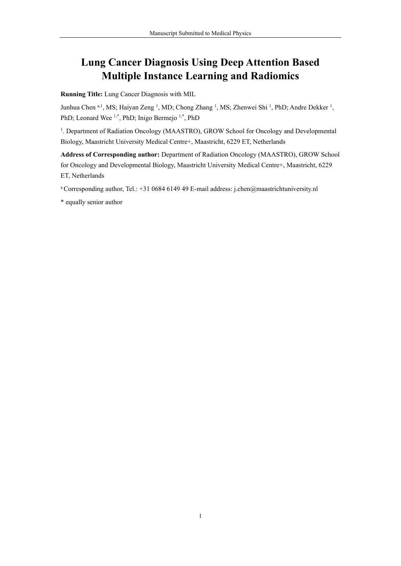# **Lung Cancer Diagnosis Using Deep Attention Based Multiple Instance Learning and Radiomics**

**Running Title:** Lung Cancer Diagnosis with MIL

Junhua Chen a,1, MS; Haiyan Zeng <sup>1</sup>, MD; Chong Zhang <sup>1</sup>, MS; Zhenwei Shi <sup>1</sup>, PhD; Andre Dekker <sup>1</sup>, PhD; Leonard Wee  $1,^*$ , PhD; Inigo Bermejo  $1,^*$ , PhD

<sup>1</sup>. Department of Radiation Oncology (MAASTRO), GROW School for Oncology and Developmental Biology, Maastricht University Medical Centre+, Maastricht, 6229 ET, Netherlands

**Address of Corresponding author:** Department of Radiation Oncology (MAASTRO), GROW School for Oncology and Developmental Biology, Maastricht University Medical Centre+, Maastricht, 6229 ET, Netherlands

<sup>a</sup> Corresponding author, Tel.: +31 0684 6149 49 E-mail address: j.chen@maastrichtuniversity.nl

\* equally senior author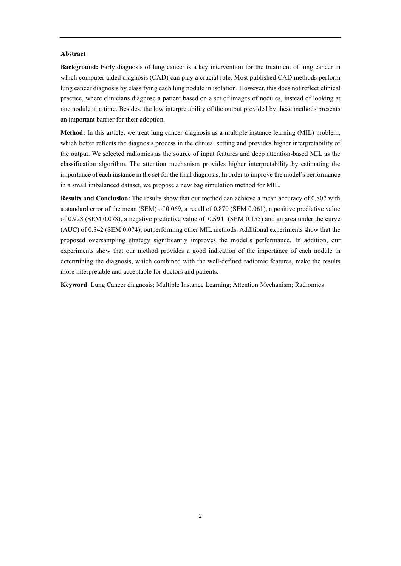# **Abstract**

**Background:** Early diagnosis of lung cancer is a key intervention for the treatment of lung cancer in which computer aided diagnosis (CAD) can play a crucial role. Most published CAD methods perform lung cancer diagnosis by classifying each lung nodule in isolation. However, this does not reflect clinical practice, where clinicians diagnose a patient based on a set of images of nodules, instead of looking at one nodule at a time. Besides, the low interpretability of the output provided by these methods presents an important barrier for their adoption.

**Method:** In this article, we treat lung cancer diagnosis as a multiple instance learning (MIL) problem, which better reflects the diagnosis process in the clinical setting and provides higher interpretability of the output. We selected radiomics as the source of input features and deep attention-based MIL as the classification algorithm. The attention mechanism provides higher interpretability by estimating the importance of each instance in the set for the final diagnosis. In order to improve the model's performance in a small imbalanced dataset, we propose a new bag simulation method for MIL.

**Results and Conclusion:** The results show that our method can achieve a mean accuracy of 0.807 with a standard error of the mean (SEM) of 0.069, a recall of 0.870 (SEM 0.061), a positive predictive value of 0.928 (SEM 0.078), a negative predictive value of 0.591 (SEM 0.155) and an area under the curve (AUC) of 0.842 (SEM 0.074), outperforming other MIL methods. Additional experiments show that the proposed oversampling strategy significantly improves the model's performance. In addition, our experiments show that our method provides a good indication of the importance of each nodule in determining the diagnosis, which combined with the well-defined radiomic features, make the results more interpretable and acceptable for doctors and patients.

**Keyword**: Lung Cancer diagnosis; Multiple Instance Learning; Attention Mechanism; Radiomics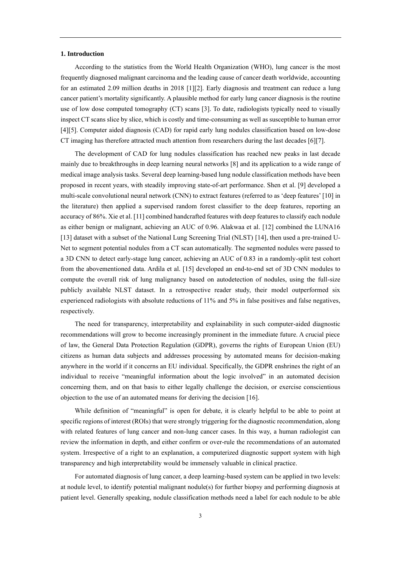## **1. Introduction**

According to the statistics from the World Health Organization (WHO), lung cancer is the most frequently diagnosed malignant carcinoma and the leading cause of cancer death worldwide, accounting for an estimated 2.09 million deaths in 2018 [\[1\]](#page-12-0)[\[2\].](#page-12-1) Early diagnosis and treatment can reduce a lung cancer patient's mortality significantly. A plausible method for early lung cancer diagnosis is the routine use of low dose computed tomography (CT) scans [\[3\].](#page-13-0) To date, radiologists typically need to visually inspect CT scans slice by slice, which is costly and time-consuming as well as susceptible to human error [\[4\]](#page-13-1)[\[5\].](#page-13-2) Computer aided diagnosis (CAD) for rapid early lung nodules classification based on low-dose CT imaging has therefore attracted much attention from researchers during the last decades [\[6\]](#page-13-3)[\[7\].](#page-13-4)

The development of CAD for lung nodules classification has reached new peaks in last decade mainly due to breakthroughs in deep learning neural networks [\[8\]](#page-13-5) and its application to a wide range of medical image analysis tasks. Several deep learning-based lung nodule classification methods have been proposed in recent years, with steadily improving state-of-art performance. Shen et al. [\[9\]](#page-13-6) developed a multi-scale convolutional neural network (CNN) to extract features (referred to as 'deep features' [\[10\]](#page-13-7) in the literature) then applied a supervised random forest classifier to the deep features, reporting an accuracy of 86%. Xie et al[. \[11\]](#page-13-8) combined handcrafted features with deep features to classify each nodule as either benign or malignant, achieving an AUC of 0.96. Alakwaa et al. [\[12\]](#page-13-9) combined the LUNA16 [\[13\]](#page-13-10) dataset with a subset of the National Lung Screening Trial (NLST) [\[14\],](#page-13-11) then used a pre-trained U-Net to segment potential nodules from a CT scan automatically. The segmented nodules were passed to a 3D CNN to detect early-stage lung cancer, achieving an AUC of 0.83 in a randomly-split test cohort from the abovementioned data. Ardila et al. [\[15\]](#page-13-12) developed an end-to-end set of 3D CNN modules to compute the overall risk of lung malignancy based on autodetection of nodules, using the full-size publicly available NLST dataset. In a retrospective reader study, their model outperformed six experienced radiologists with absolute reductions of 11% and 5% in false positives and false negatives, respectively.

The need for transparency, interpretability and explainability in such computer-aided diagnostic recommendations will grow to become increasingly prominent in the immediate future. A crucial piece of law, the General Data Protection Regulation (GDPR), governs the rights of European Union (EU) citizens as human data subjects and addresses processing by automated means for decision-making anywhere in the world if it concerns an EU individual. Specifically, the GDPR enshrines the right of an individual to receive "meaningful information about the logic involved" in an automated decision concerning them, and on that basis to either legally challenge the decision, or exercise conscientious objection to the use of an automated means for deriving the decision [\[16\].](#page-13-13)

While definition of "meaningful" is open for debate, it is clearly helpful to be able to point at specific regions of interest (ROIs) that were strongly triggering for the diagnostic recommendation, along with related features of lung cancer and non-lung cancer cases. In this way, a human radiologist can review the information in depth, and either confirm or over-rule the recommendations of an automated system. Irrespective of a right to an explanation, a computerized diagnostic support system with high transparency and high interpretability would be immensely valuable in clinical practice.

For automated diagnosis of lung cancer, a deep learning-based system can be applied in two levels: at nodule level, to identify potential malignant nodule(s) for further biopsy and performing diagnosis at patient level. Generally speaking, nodule classification methods need a label for each nodule to be able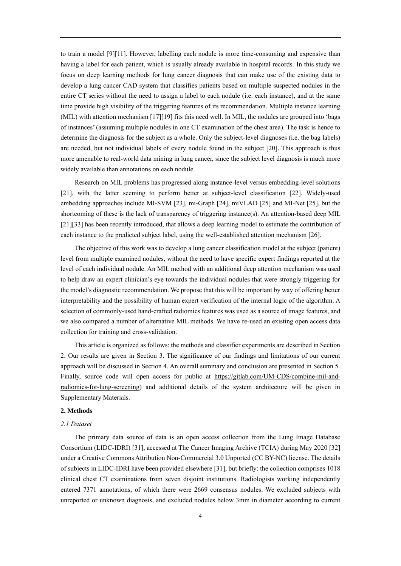to train a model [\[9\]](#page-13-6)[\[11\].](#page-13-8) However, labelling each nodule is more time-consuming and expensive than having a label for each patient, which is usually already available in hospital records. In this study we focus on deep learning methods for lung cancer diagnosis that can make use of the existing data to develop a lung cancer CAD system that classifies patients based on multiple suspected nodules in the entire CT series without the need to assign a label to each nodule (i.e. each instance), and at the same time provide high visibility of the triggering features of its recommendation. Multiple instance learning (MIL) with attention mechanism [\[17\]](#page-14-0)[\[19\]](#page-14-1) fits this need well. In MIL, the nodules are grouped into 'bags of instances' (assuming multiple nodules in one CT examination of the chest area). The task is hence to determine the diagnosis for the subject as a whole. Only the subject-level diagnoses (i.e. the bag labels) are needed, but not individual labels of every nodule found in the subject [\[20\].](#page-14-2) This approach is thus more amenable to real-world data mining in lung cancer, since the subject level diagnosis is much more widely available than annotations on each nodule.

Research on MIL problems has progressed along instance-level versus embedding-level solutions [\[21\],](#page-14-3) with the latter seeming to perform better at subject-level classification [\[22\].](#page-14-4) Widely-used embedding approaches include MI-SVM [\[23\],](#page-14-5) mi-Graph [\[24\],](#page-14-6) miVLAD [\[25\]](#page-14-7) and MI-Net [\[25\],](#page-14-7) but the shortcoming of these is the lack of transparency of triggering instance(s). An attention-based deep MIL [\[21\]](#page-14-3)[\[33\]](#page-15-0) has been recently introduced, that allows a deep learning model to estimate the contribution of each instance to the predicted subject label, using the well-established attention mechanism [\[26\].](#page-14-8)

The objective of this work was to develop a lung cancer classification model at the subject (patient) level from multiple examined nodules, without the need to have specific expert findings reported at the level of each individual nodule. An MIL method with an additional deep attention mechanism was used to help draw an expert clinician's eye towards the individual nodules that were strongly triggering for the model's diagnostic recommendation. We propose that this will be important by way of offering better interpretability and the possibility of human expert verification of the internal logic of the algorithm. A selection of commonly-used hand-crafted radiomics features was used as a source of image features, and we also compared a number of alternative MIL methods. We have re-used an existing open access data collection for training and cross-validation.

This article is organized as follows: the methods and classifier experiments are described in Section 2. Our results are given in Section 3. The significance of our findings and limitations of our current approach will be discussed in Section 4. An overall summary and conclusion are presented in Section 5. Finally, source code will open access for public at [https://gitlab.com/UM-CDS/combine-mil-and](https://gitlab.com/UM-CDS/combine-mil-and-radiomics-for-lung-screening)[radiomics-for-lung-screening\)](https://gitlab.com/UM-CDS/combine-mil-and-radiomics-for-lung-screening) and additional details of the system architecture will be given in Supplementary Materials.

## **2. Methods**

# *2.1 Dataset*

The primary data source of data is an open access collection from the Lung Image Database Consortium (LIDC-IDRI) [\[31\],](#page-14-9) accessed at The Cancer Imaging Archive (TCIA) during May 2020 [\[32\]](#page-14-10) under a Creative Commons Attribution Non-Commercial 3.0 Unported (CC BY-NC) license. The details of subjects in LIDC-IDRI have been provided elsewhere [\[31\],](#page-14-9) but briefly: the collection comprises 1018 clinical chest CT examinations from seven disjoint institutions. Radiologists working independently entered 7371 annotations, of which there were 2669 consensus nodules. We excluded subjects with unreported or unknown diagnosis, and excluded nodules below 3mm in diameter according to current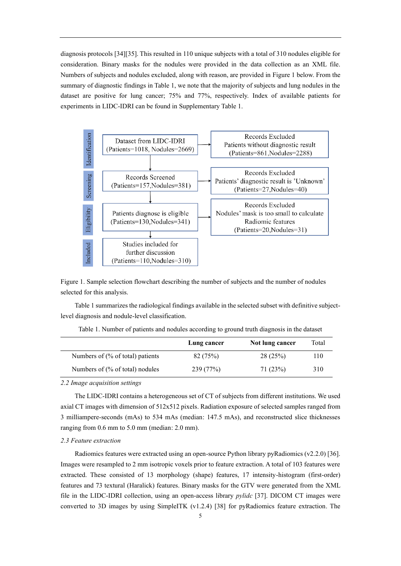diagnosis protocol[s \[34\]](#page-15-1)[\[35\].](#page-15-2) This resulted in 110 unique subjects with a total of 310 nodules eligible for consideration. Binary masks for the nodules were provided in the data collection as an XML file. Numbers of subjects and nodules excluded, along with reason, are provided in [Figure 1](#page-4-0) below. From the summary of diagnostic findings in Table 1, we note that the majority of subjects and lung nodules in the dataset are positive for lung cancer; 75% and 77%, respectively. Index of available patients for experiments in LIDC-IDRI can be found in Supplementary Table 1.



<span id="page-4-0"></span>Figure 1. Sample selection flowchart describing the number of subjects and the number of nodules selected for this analysis.

[Table 1](#page-4-1) summarizes the radiological findings available in the selected subset with definitive subjectlevel diagnosis and nodule-level classification.

<span id="page-4-1"></span>

|                                   | Lung cancer | Not lung cancer | Total |
|-----------------------------------|-------------|-----------------|-------|
| Numbers of $%$ of total) patients | 82 (75%)    | 28(25%)         | 110   |
| Numbers of $%$ of total) nodules  | 239 (77%)   | 71 (23%)        | 310   |

Table 1. Number of patients and nodules according to ground truth diagnosis in the dataset

#### *2.2 Image acquisition settings*

The LIDC-IDRI contains a heterogeneous set of CT of subjects from different institutions. We used axial CT images with dimension of 512x512 pixels. Radiation exposure of selected samples ranged from 3 milliampere-seconds (mAs) to 534 mAs (median: 147.5 mAs), and reconstructed slice thicknesses ranging from 0.6 mm to 5.0 mm (median: 2.0 mm).

## *2.3 Feature extraction*

Radiomics features were extracted using an open-source Python library pyRadiomics (v2.2.0) [\[36\].](#page-15-3) Images were resampled to 2 mm isotropic voxels prior to feature extraction. A total of 103 features were extracted. These consisted of 13 morphology (shape) features, 17 intensity-histogram (first-order) features and 73 textural (Haralick) features. Binary masks for the GTV were generated from the XML file in the LIDC-IDRI collection, using an open-access library *pylidc* [\[37\].](#page-15-4) DICOM CT images were converted to 3D images by using SimpleITK (v1.2.4) [\[38\]](#page-15-5) for pyRadiomics feature extraction. The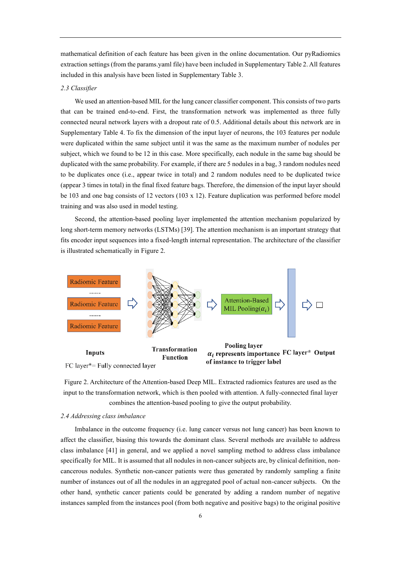mathematical definition of each feature has been given in the online documentation. Our pyRadiomics extraction settings (from the params.yaml file) have been included in Supplementary Table 2. All features included in this analysis have been listed in Supplementary Table 3.

#### *2.3 Classifier*

We used an attention-based MIL for the lung cancer classifier component. This consists of two parts that can be trained end-to-end. First, the transformation network was implemented as three fully connected neural network layers with a dropout rate of 0.5. Additional details about this network are in Supplementary Table 4. To fix the dimension of the input layer of neurons, the 103 features per nodule were duplicated within the same subject until it was the same as the maximum number of nodules per subject, which we found to be 12 in this case. More specifically, each nodule in the same bag should be duplicated with the same probability. For example, if there are 5 nodules in a bag, 3 random nodules need to be duplicates once (i.e., appear twice in total) and 2 random nodules need to be duplicated twice (appear 3 times in total) in the final fixed feature bags. Therefore, the dimension of the input layer should be 103 and one bag consists of 12 vectors (103 x 12). Feature duplication was performed before model training and was also used in model testing.

Second, the attention-based pooling layer implemented the attention mechanism popularized by long short-term memory networks (LSTMs) [\[39\].](#page-15-6) The attention mechanism is an important strategy that fits encoder input sequences into a fixed-length internal representation. The architecture of the classifier is illustrated schematically in [Figure 2.](#page-5-0)



<span id="page-5-0"></span>Figure 2. Architecture of the Attention-based Deep MIL. Extracted radiomics features are used as the input to the transformation network, which is then pooled with attention. A fully-connected final layer combines the attention-based pooling to give the output probability.

## *2.4 Addressing class imbalance*

Imbalance in the outcome frequency (i.e. lung cancer versus not lung cancer) has been known to affect the classifier, biasing this towards the dominant class. Several methods are available to address class imbalance [\[41\]](#page-15-7) in general, and we applied a novel sampling method to address class imbalance specifically for MIL. It is assumed that all nodules in non-cancer subjects are, by clinical definition, noncancerous nodules. Synthetic non-cancer patients were thus generated by randomly sampling a finite number of instances out of all the nodules in an aggregated pool of actual non-cancer subjects. On the other hand, synthetic cancer patients could be generated by adding a random number of negative instances sampled from the instances pool (from both negative and positive bags) to the original positive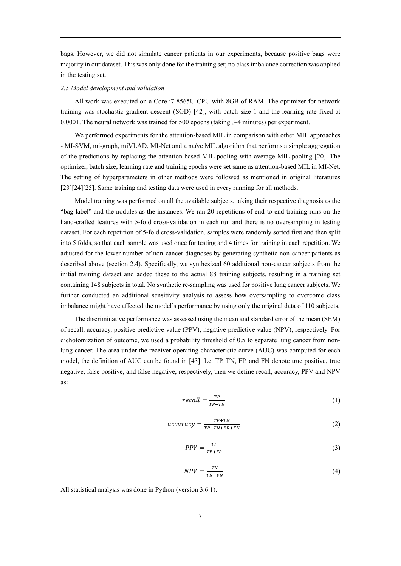bags. However, we did not simulate cancer patients in our experiments, because positive bags were majority in our dataset. This was only done for the training set; no class imbalance correction was applied in the testing set.

#### *2.5 Model development and validation*

All work was executed on a Core i7 8565U CPU with 8GB of RAM. The optimizer for network training was stochastic gradient descent (SGD) [\[42\],](#page-15-8) with batch size 1 and the learning rate fixed at 0.0001. The neural network was trained for 500 epochs (taking 3-4 minutes) per experiment.

We performed experiments for the attention-based MIL in comparison with other MIL approaches - MI-SVM, mi-graph, miVLAD, MI-Net and a naïve MIL algorithm that performs a simple aggregation of the predictions by replacing the attention-based MIL pooling with average MIL pooling [\[20\].](#page-14-2) The optimizer, batch size, learning rate and training epochs were set same as attention-based MIL in MI-Net. The setting of hyperparameters in other methods were followed as mentioned in original literatures [\[23\]](#page-14-5)[\[24\]](#page-14-6)[\[25\].](#page-14-7) Same training and testing data were used in every running for all methods.

Model training was performed on all the available subjects, taking their respective diagnosis as the "bag label" and the nodules as the instances. We ran 20 repetitions of end-to-end training runs on the hand-crafted features with 5-fold cross-validation in each run and there is no oversampling in testing dataset. For each repetition of 5-fold cross-validation, samples were randomly sorted first and then split into 5 folds, so that each sample was used once for testing and 4 times for training in each repetition. We adjusted for the lower number of non-cancer diagnoses by generating synthetic non-cancer patients as described above (section 2.4). Specifically, we synthesized 60 additional non-cancer subjects from the initial training dataset and added these to the actual 88 training subjects, resulting in a training set containing 148 subjects in total. No synthetic re-sampling was used for positive lung cancer subjects. We further conducted an additional sensitivity analysis to assess how oversampling to overcome class imbalance might have affected the model's performance by using only the original data of 110 subjects.

The discriminative performance was assessed using the mean and standard error of the mean (SEM) of recall, accuracy, positive predictive value (PPV), negative predictive value (NPV), respectively. For dichotomization of outcome, we used a probability threshold of 0.5 to separate lung cancer from nonlung cancer. The area under the receiver operating characteristic curve (AUC) was computed for each model, the definition of AUC can be found in [\[43\].](#page-15-9) Let TP, TN, FP, and FN denote true positive, true negative, false positive, and false negative, respectively, then we define recall, accuracy, PPV and NPV as:

$$
recall = \frac{TP}{TP + TN} \tag{1}
$$

$$
accuracy = \frac{TP + TN}{TP + TN + FR + FN} \tag{2}
$$

$$
PPV = \frac{TP}{TP + FP} \tag{3}
$$

$$
NPV = \frac{TN}{TN + FN} \tag{4}
$$

All statistical analysis was done in Python (version 3.6.1).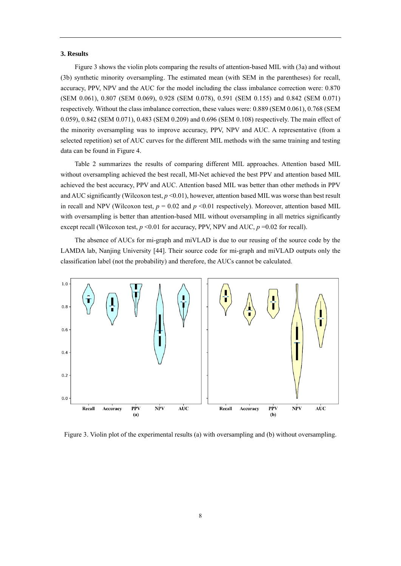#### **3. Results**

[Figure 3](#page-7-0) shows the violin plots comparing the results of attention-based MIL with (3a) and without (3b) synthetic minority oversampling. The estimated mean (with SEM in the parentheses) for recall, accuracy, PPV, NPV and the AUC for the model including the class imbalance correction were: 0.870 (SEM 0.061), 0.807 (SEM 0.069), 0.928 (SEM 0.078), 0.591 (SEM 0.155) and 0.842 (SEM 0.071) respectively. Without the class imbalance correction, these values were: 0.889 (SEM 0.061), 0.768 (SEM 0.059), 0.842 (SEM 0.071), 0.483 (SEM 0.209) and 0.696 (SEM 0.108) respectively. The main effect of the minority oversampling was to improve accuracy, PPV, NPV and AUC. A representative (from a selected repetition) set of AUC curves for the different MIL methods with the same training and testing data can be found i[n Figure 4](#page-8-0)[.](#page-8-1)

[Table 2](#page-8-1) summarizes the results of comparing different MIL approaches. Attention based MIL without oversampling achieved the best recall, MI-Net achieved the best PPV and attention based MIL achieved the best accuracy, PPV and AUC. Attention based MIL was better than other methods in PPV and AUC significantly (Wilcoxon test,  $p \le 0.01$ ), however, attention based MIL was worse than best result in recall and NPV (Wilcoxon test,  $p = 0.02$  and  $p \le 0.01$  respectively). Moreover, attention based MIL with oversampling is better than attention-based MIL without oversampling in all metrics significantly except recall (Wilcoxon test,  $p \le 0.01$  for accuracy, PPV, NPV and AUC,  $p = 0.02$  for recall).

The absence of AUCs for mi-graph and miVLAD is due to our reusing of the source code by the LAMDA lab, Nanjing University [\[44\].](#page-15-10) Their source code for mi-graph and miVLAD outputs only the classification label (not the probability) and therefore, the AUCs cannot be calculated.



<span id="page-7-0"></span>Figure 3. Violin plot of the experimental results (a) with oversampling and (b) without oversampling.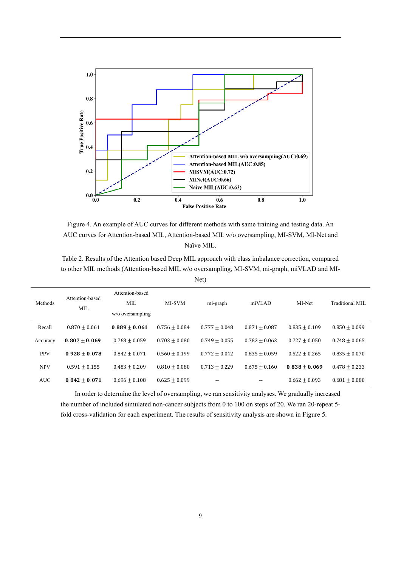

<span id="page-8-1"></span><span id="page-8-0"></span>Figure 4. An example of AUC curves for different methods with same training and testing data. An AUC curves for Attention-based MIL, Attention-based MIL w/o oversampling, MI-SVM, MI-Net and Naïve MIL.

Table 2. Results of the Attention based Deep MIL approach with class imbalance correction, compared to other MIL methods (Attention-based MIL w/o oversampling, MI-SVM, mi-graph, miVLAD and MI-Net)

| Methods    | Attention-based<br>MIL. | Attention-based<br>MIL<br>$w$ o oversampling | MI-SVM            | mi-graph        | miVLAD          | MI-Net          | Traditional MIL   |
|------------|-------------------------|----------------------------------------------|-------------------|-----------------|-----------------|-----------------|-------------------|
| Recall     | $0.870 + 0.061$         | $0.889 \pm 0.061$                            | $0.756 \pm 0.084$ | $0.777 + 0.048$ | $0.871 + 0.087$ | $0.835 + 0.109$ | $0.850 \pm 0.099$ |
| Accuracy   | $0.807 + 0.069$         | $0.768 + 0.059$                              | $0.703 + 0.080$   | $0.749 + 0.055$ | $0.782 + 0.063$ | $0.727 + 0.050$ | $0.748 + 0.065$   |
| <b>PPV</b> | $0.928 + 0.078$         | $0.842 + 0.071$                              | $0.560 + 0.199$   | $0.772 + 0.042$ | $0.835 + 0.059$ | $0.522 + 0.265$ | $0.835 + 0.070$   |
| <b>NPV</b> | $0.591 + 0.155$         | $0.483 + 0.209$                              | $0.810 + 0.080$   | $0.713 + 0.229$ | $0.675 + 0.160$ | $0.838 + 0.069$ | $0.478 + 0.233$   |
| <b>AUC</b> | $0.842 + 0.071$         | $0.696 + 0.108$                              | $0.625 + 0.099$   | $-$             | --              | $0.662 + 0.093$ | $0.681 + 0.080$   |

In order to determine the level of oversampling, we ran sensitivity analyses. We gradually increased the number of included simulated non-cancer subjects from 0 to 100 on steps of 20. We ran 20-repeat 5 fold cross-validation for each experiment. The results of sensitivity analysis are shown in [Figure 5.](#page-9-0)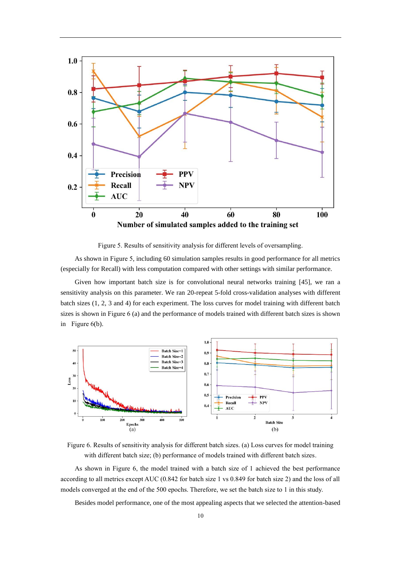

Figure 5. Results of sensitivity analysis for different levels of oversampling.

<span id="page-9-0"></span>As shown in [Figure 5,](#page-9-0) including 60 simulation samples results in good performance for all metrics (especially for Recall) with less computation compared with other settings with similar performance.

Given how important batch size is for convolutional neural networks training [\[45\],](#page-15-11) we ran a sensitivity analysis on this parameter. We ran 20-repeat 5-fold cross-validation analyses with different batch sizes (1, 2, 3 and 4) for each experiment. The loss curves for model training with different batch sizes is shown in [Figure 6](#page-9-1) (a) and the performance of models trained with different batch sizes is shown in [Figure 6\(](#page-9-1)b).



<span id="page-9-1"></span>Figure 6. Results of sensitivity analysis for different batch sizes. (a) Loss curves for model training with different batch size; (b) performance of models trained with different batch sizes.

As shown in [Figure 6,](#page-9-1) the model trained with a batch size of 1 achieved the best performance according to all metrics except AUC (0.842 for batch size 1 vs 0.849 for batch size 2) and the loss of all models converged at the end of the 500 epochs. Therefore, we set the batch size to 1 in this study.

Besides model performance, one of the most appealing aspects that we selected the attention-based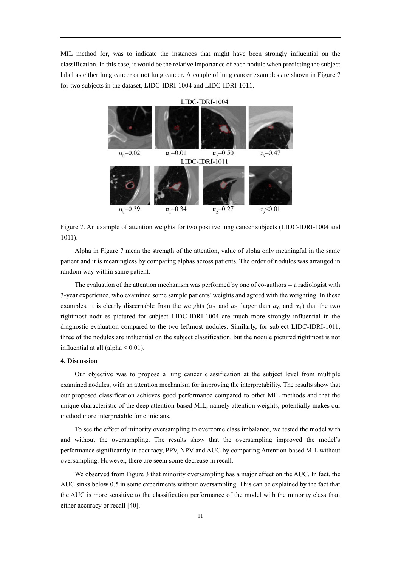MIL method for, was to indicate the instances that might have been strongly influential on the classification. In this case, it would be the relative importance of each nodule when predicting the subject label as either lung cancer or not lung cancer. A couple of lung cancer examples are shown in [Figure 7](#page-10-0) for two subjects in the dataset, LIDC-IDRI-1004 and LIDC-IDRI-1011.



<span id="page-10-0"></span>Figure 7. An example of attention weights for two positive lung cancer subjects (LIDC-IDRI-1004 and 1011).

Alpha in [Figure 7](#page-10-0) mean the strength of the attention, value of alpha only meaningful in the same patient and it is meaningless by comparing alphas across patients. The order of nodules was arranged in random way within same patient.

The evaluation of the attention mechanism was performed by one of co-authors -- a radiologist with 3-year experience, who examined some sample patients' weights and agreed with the weighting. In these examples, it is clearly discernable from the weights ( $\alpha_2$  and  $\alpha_3$  larger than  $\alpha_0$  and  $\alpha_1$ ) that the two rightmost nodules pictured for subject LIDC-IDRI-1004 are much more strongly influential in the diagnostic evaluation compared to the two leftmost nodules. Similarly, for subject LIDC-IDRI-1011, three of the nodules are influential on the subject classification, but the nodule pictured rightmost is not influential at all (alpha  $< 0.01$ ).

#### **4. Discussion**

Our objective was to propose a lung cancer classification at the subject level from multiple examined nodules, with an attention mechanism for improving the interpretability. The results show that our proposed classification achieves good performance compared to other MIL methods and that the unique characteristic of the deep attention-based MIL, namely attention weights, potentially makes our method more interpretable for clinicians.

To see the effect of minority oversampling to overcome class imbalance, we tested the model with and without the oversampling. The results show that the oversampling improved the model's performance significantly in accuracy, PPV, NPV and AUC by comparing Attention-based MIL without oversampling. However, there are seem some decrease in recall.

We observed from [Figure 3](#page-7-0) that minority oversampling has a major effect on the AUC. In fact, the AUC sinks below 0.5 in some experiments without oversampling. This can be explained by the fact that the AUC is more sensitive to the classification performance of the model with the minority class than either accuracy or recall [\[40\].](#page-15-12)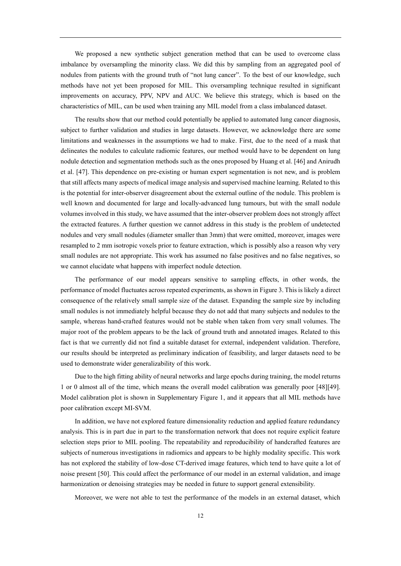We proposed a new synthetic subject generation method that can be used to overcome class imbalance by oversampling the minority class. We did this by sampling from an aggregated pool of nodules from patients with the ground truth of "not lung cancer". To the best of our knowledge, such methods have not yet been proposed for MIL. This oversampling technique resulted in significant improvements on accuracy, PPV, NPV and AUC. We believe this strategy, which is based on the characteristics of MIL, can be used when training any MIL model from a class imbalanced dataset.

The results show that our method could potentially be applied to automated lung cancer diagnosis, subject to further validation and studies in large datasets. However, we acknowledge there are some limitations and weaknesses in the assumptions we had to make. First, due to the need of a mask that delineates the nodules to calculate radiomic features, our method would have to be dependent on lung nodule detection and segmentation methods such as the ones proposed by Huang et al[. \[46\]](#page-15-13) and Anirudh et al. [\[47\].](#page-16-0) This dependence on pre-existing or human expert segmentation is not new, and is problem that still affects many aspects of medical image analysis and supervised machine learning. Related to this is the potential for inter-observer disagreement about the external outline of the nodule. This problem is well known and documented for large and locally-advanced lung tumours, but with the small nodule volumes involved in this study, we have assumed that the inter-observer problem does not strongly affect the extracted features. A further question we cannot address in this study is the problem of undetected nodules and very small nodules (diameter smaller than 3mm) that were omitted, moreover, images were resampled to 2 mm isotropic voxels prior to feature extraction, which is possibly also a reason why very small nodules are not appropriate. This work has assumed no false positives and no false negatives, so we cannot elucidate what happens with imperfect nodule detection.

The performance of our model appears sensitive to sampling effects, in other words, the performance of model fluctuates across repeated experiments, as shown i[n Figure 3.](#page-7-0) This is likely a direct consequence of the relatively small sample size of the dataset. Expanding the sample size by including small nodules is not immediately helpful because they do not add that many subjects and nodules to the sample, whereas hand-crafted features would not be stable when taken from very small volumes. The major root of the problem appears to be the lack of ground truth and annotated images. Related to this fact is that we currently did not find a suitable dataset for external, independent validation. Therefore, our results should be interpreted as preliminary indication of feasibility, and larger datasets need to be used to demonstrate wider generalizability of this work.

Due to the high fitting ability of neural networks and large epochs during training, the model returns 1 or 0 almost all of the time, which means the overall model calibration was generally poor [\[48\]](#page-16-1)[\[49\].](#page-16-2) Model calibration plot is shown in Supplementary Figure 1, and it appears that all MIL methods have poor calibration except MI-SVM.

In addition, we have not explored feature dimensionality reduction and applied feature redundancy analysis. This is in part due in part to the transformation network that does not require explicit feature selection steps prior to MIL pooling. The repeatability and reproducibility of handcrafted features are subjects of numerous investigations in radiomics and appears to be highly modality specific. This work has not explored the stability of low-dose CT-derived image features, which tend to have quite a lot of noise present [\[50\].](#page-16-3) This could affect the performance of our model in an external validation, and image harmonization or denoising strategies may be needed in future to support general extensibility.

Moreover, we were not able to test the performance of the models in an external dataset, which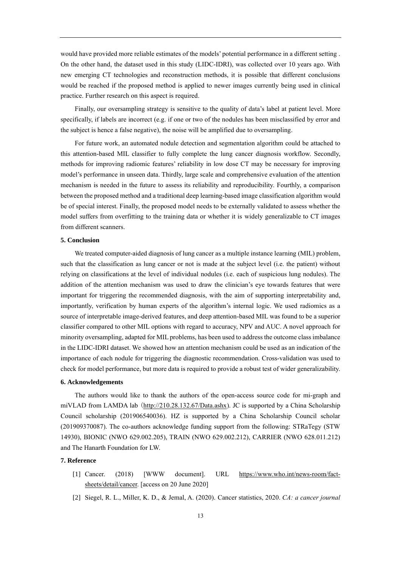would have provided more reliable estimates of the models' potential performance in a different setting . On the other hand, the dataset used in this study (LIDC-IDRI), was collected over 10 years ago. With new emerging CT technologies and reconstruction methods, it is possible that different conclusions would be reached if the proposed method is applied to newer images currently being used in clinical practice. Further research on this aspect is required.

Finally, our oversampling strategy is sensitive to the quality of data's label at patient level. More specifically, if labels are incorrect (e.g. if one or two of the nodules has been misclassified by error and the subject is hence a false negative), the noise will be amplified due to oversampling.

For future work, an automated nodule detection and segmentation algorithm could be attached to this attention-based MIL classifier to fully complete the lung cancer diagnosis workflow. Secondly, methods for improving radiomic features' reliability in low dose CT may be necessary for improving model's performance in unseen data. Thirdly, large scale and comprehensive evaluation of the attention mechanism is needed in the future to assess its reliability and reproducibility. Fourthly, a comparison between the proposed method and a traditional deep learning-based image classification algorithm would be of special interest. Finally, the proposed model needs to be externally validated to assess whether the model suffers from overfitting to the training data or whether it is widely generalizable to CT images from different scanners.

# **5. Conclusion**

We treated computer-aided diagnosis of lung cancer as a multiple instance learning (MIL) problem, such that the classification as lung cancer or not is made at the subject level (i.e. the patient) without relying on classifications at the level of individual nodules (i.e. each of suspicious lung nodules). The addition of the attention mechanism was used to draw the clinician's eye towards features that were important for triggering the recommended diagnosis, with the aim of supporting interpretability and, importantly, verification by human experts of the algorithm's internal logic. We used radiomics as a source of interpretable image-derived features, and deep attention-based MIL was found to be a superior classifier compared to other MIL options with regard to accuracy, NPV and AUC. A novel approach for minority oversampling, adapted for MIL problems, has been used to address the outcome class imbalance in the LIDC-IDRI dataset. We showed how an attention mechanism could be used as an indication of the importance of each nodule for triggering the diagnostic recommendation. Cross-validation was used to check for model performance, but more data is required to provide a robust test of wider generalizability.

## **6. Acknowledgements**

The authors would like to thank the authors of the open-access source code for mi-graph and miVLAD from LAMDA lab ([http://210.28.132.67/Data.ashx\)](http://210.28.132.67/Data.ashx). JC is supported by a China Scholarship Council scholarship (201906540036). HZ is supported by a China Scholarship Council scholar (201909370087). The co-authors acknowledge funding support from the following: STRaTegy (STW 14930), BIONIC (NWO 629.002.205), TRAIN (NWO 629.002.212), CARRIER (NWO 628.011.212) and The Hanarth Foundation for LW.

# <span id="page-12-0"></span>**7. Reference**

- [1] Cancer. (2018) [WWW document]. URL [https://www.who.int/news-room/fact](https://www.who.int/news-room/fact-sheets/detail/cancer)[sheets/detail/cancer.](https://www.who.int/news-room/fact-sheets/detail/cancer) [access on 20 June 2020]
- <span id="page-12-1"></span>[2] Siegel, R. L., Miller, K. D., & Jemal, A. (2020). Cancer statistics, 2020. *CA: a cancer journal*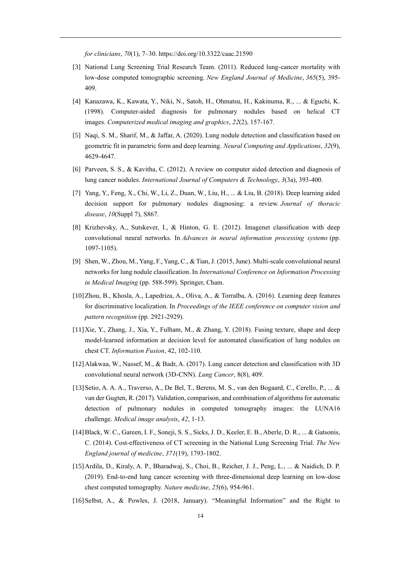*for clinicians*, *70*(1), 7–30. https://doi.org/10.3322/caac.21590

- <span id="page-13-0"></span>[3] National Lung Screening Trial Research Team. (2011). Reduced lung-cancer mortality with low-dose computed tomographic screening. *New England Journal of Medicine*, *365*(5), 395- 409.
- <span id="page-13-1"></span>[4] Kanazawa, K., Kawata, Y., Niki, N., Satoh, H., Ohmatsu, H., Kakinuma, R., ... & Eguchi, K. (1998). Computer-aided diagnosis for pulmonary nodules based on helical CT images. *Computerized medical imaging and graphics*, *22*(2), 157-167.
- <span id="page-13-2"></span>[5] Naqi, S. M., Sharif, M., & Jaffar, A. (2020). Lung nodule detection and classification based on geometric fit in parametric form and deep learning. *Neural Computing and Applications*, *32*(9), 4629-4647.
- <span id="page-13-3"></span>[6] Parveen, S. S., & Kavitha, C. (2012). A review on computer aided detection and diagnosis of lung cancer nodules. *International Journal of Computers & Technology*, *3*(3a), 393-400.
- <span id="page-13-4"></span>[7] Yang, Y., Feng, X., Chi, W., Li, Z., Duan, W., Liu, H., ... & Liu, B. (2018). Deep learning aided decision support for pulmonary nodules diagnosing: a review. *Journal of thoracic disease*, *10*(Suppl 7), S867.
- <span id="page-13-5"></span>[8] Krizhevsky, A., Sutskever, I., & Hinton, G. E. (2012). Imagenet classification with deep convolutional neural networks. In *Advances in neural information processing systems* (pp. 1097-1105).
- <span id="page-13-6"></span>[9] Shen, W., Zhou, M., Yang, F., Yang, C., & Tian, J. (2015, June). Multi-scale convolutional neural networks for lung nodule classification. In *International Conference on Information Processing in Medical Imaging* (pp. 588-599). Springer, Cham.
- <span id="page-13-7"></span>[10]Zhou, B., Khosla, A., Lapedriza, A., Oliva, A., & Torralba, A. (2016). Learning deep features for discriminative localization. In *Proceedings of the IEEE conference on computer vision and pattern recognition* (pp. 2921-2929).
- <span id="page-13-8"></span>[11]Xie, Y., Zhang, J., Xia, Y., Fulham, M., & Zhang, Y. (2018). Fusing texture, shape and deep model-learned information at decision level for automated classification of lung nodules on chest CT. *Information Fusion*, 42, 102-110.
- <span id="page-13-9"></span>[12]Alakwaa, W., Nassef, M., & Badr, A. (2017). Lung cancer detection and classification with 3D convolutional neural network (3D-CNN). *Lung Cancer*, 8(8), 409.
- <span id="page-13-10"></span>[13]Setio, A. A. A., Traverso, A., De Bel, T., Berens, M. S., van den Bogaard, C., Cerello, P., ... & van der Gugten, R. (2017). Validation, comparison, and combination of algorithms for automatic detection of pulmonary nodules in computed tomography images: the LUNA16 challenge. *Medical image analysis*, *42*, 1-13.
- <span id="page-13-11"></span>[14]Black, W. C., Gareen, I. F., Soneji, S. S., Sicks, J. D., Keeler, E. B., Aberle, D. R., ... & Gatsonis, C. (2014). Cost-effectiveness of CT screening in the National Lung Screening Trial. *The New England journal of medicine*, *371*(19), 1793-1802.
- <span id="page-13-12"></span>[15]Ardila, D., Kiraly, A. P., Bharadwaj, S., Choi, B., Reicher, J. J., Peng, L., ... & Naidich, D. P. (2019). End-to-end lung cancer screening with three-dimensional deep learning on low-dose chest computed tomography. *Nature medicine*, *25*(6), 954-961.
- <span id="page-13-13"></span>[16]Selbst, A., & Powles, J. (2018, January). "Meaningful Information" and the Right to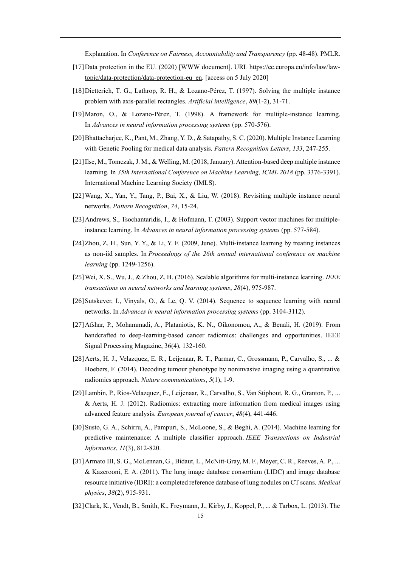Explanation. In *Conference on Fairness, Accountability and Transparency* (pp. 48-48). PMLR.

- <span id="page-14-0"></span>[17]Data protection in the EU. (2020) [WWW document]. URL [https://ec.europa.eu/info/law/law](https://ec.europa.eu/info/law/law-topic/data-protection/data-protection-eu_en)[topic/data-protection/data-protection-eu\\_en.](https://ec.europa.eu/info/law/law-topic/data-protection/data-protection-eu_en) [access on 5 July 2020]
- [18]Dietterich, T. G., Lathrop, R. H., & Lozano-Pérez, T. (1997). Solving the multiple instance problem with axis-parallel rectangles. *Artificial intelligence*, *89*(1-2), 31-71.
- <span id="page-14-1"></span>[19]Maron, O., & Lozano-Pérez, T. (1998). A framework for multiple-instance learning. In *Advances in neural information processing systems* (pp. 570-576).
- <span id="page-14-2"></span>[20]Bhattacharjee, K., Pant, M., Zhang, Y. D., & Satapathy, S. C. (2020). Multiple Instance Learning with Genetic Pooling for medical data analysis. *Pattern Recognition Letters*, *133*, 247-255.
- <span id="page-14-3"></span>[21]Ilse, M., Tomczak, J. M., & Welling, M. (2018, January). Attention-based deep multiple instance learning. In *35th International Conference on Machine Learning, ICML 2018* (pp. 3376-3391). International Machine Learning Society (IMLS).
- <span id="page-14-4"></span>[22]Wang, X., Yan, Y., Tang, P., Bai, X., & Liu, W. (2018). Revisiting multiple instance neural networks. *Pattern Recognition*, *74*, 15-24.
- <span id="page-14-5"></span>[23] Andrews, S., Tsochantaridis, I., & Hofmann, T. (2003). Support vector machines for multipleinstance learning. In *Advances in neural information processing systems* (pp. 577-584).
- <span id="page-14-6"></span>[24]Zhou, Z. H., Sun, Y. Y., & Li, Y. F. (2009, June). Multi-instance learning by treating instances as non-iid samples. In *Proceedings of the 26th annual international conference on machine learning* (pp. 1249-1256).
- <span id="page-14-7"></span>[25]Wei, X. S., Wu, J., & Zhou, Z. H. (2016). Scalable algorithms for multi-instance learning. *IEEE transactions on neural networks and learning systems*, *28*(4), 975-987.
- <span id="page-14-8"></span>[26] Sutskever, I., Vinyals, O., & Le, Q. V. (2014). Sequence to sequence learning with neural networks. In *Advances in neural information processing systems* (pp. 3104-3112).
- [27]Afshar, P., Mohammadi, A., Plataniotis, K. N., Oikonomou, A., & Benali, H. (2019). From handcrafted to deep-learning-based cancer radiomics: challenges and opportunities. IEEE Signal Processing Magazine, 36(4), 132-160.
- [28]Aerts, H. J., Velazquez, E. R., Leijenaar, R. T., Parmar, C., Grossmann, P., Carvalho, S., ... & Hoebers, F. (2014). Decoding tumour phenotype by noninvasive imaging using a quantitative radiomics approach. *Nature communications*, *5*(1), 1-9.
- [29]Lambin, P., Rios-Velazquez, E., Leijenaar, R., Carvalho, S., Van Stiphout, R. G., Granton, P., ... & Aerts, H. J. (2012). Radiomics: extracting more information from medical images using advanced feature analysis. *European journal of cancer*, *48*(4), 441-446.
- [30] Susto, G. A., Schirru, A., Pampuri, S., McLoone, S., & Beghi, A. (2014). Machine learning for predictive maintenance: A multiple classifier approach. *IEEE Transactions on Industrial Informatics*, *11*(3), 812-820.
- [31]Armato III, S. G., McLennan, G., Bidaut, L., McNitt‐Gray, M. F., Meyer, C. R., Reeves, A. P., ... & Kazerooni, E. A. (2011). The lung image database consortium (LIDC) and image database resource initiative (IDRI): a completed reference database of lung nodules on CT scans. *Medical physics*, *38*(2), 915-931.
- <span id="page-14-10"></span><span id="page-14-9"></span>[32]Clark, K., Vendt, B., Smith, K., Freymann, J., Kirby, J., Koppel, P., ... & Tarbox, L. (2013). The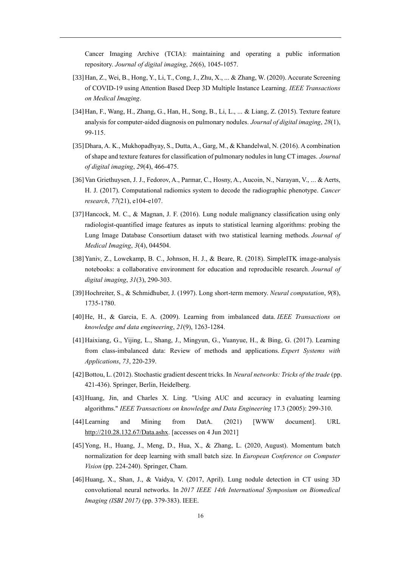Cancer Imaging Archive (TCIA): maintaining and operating a public information repository. *Journal of digital imaging*, *26*(6), 1045-1057.

- <span id="page-15-0"></span>[33]Han, Z., Wei, B., Hong, Y., Li, T., Cong, J., Zhu, X., ... & Zhang, W. (2020). Accurate Screening of COVID-19 using Attention Based Deep 3D Multiple Instance Learning. *IEEE Transactions on Medical Imaging*.
- <span id="page-15-1"></span>[34]Han, F., Wang, H., Zhang, G., Han, H., Song, B., Li, L., ... & Liang, Z. (2015). Texture feature analysis for computer-aided diagnosis on pulmonary nodules. *Journal of digital imaging*, *28*(1), 99-115.
- <span id="page-15-2"></span>[35]Dhara, A. K., Mukhopadhyay, S., Dutta, A., Garg, M., & Khandelwal, N. (2016). A combination of shape and texture features for classification of pulmonary nodules in lung CT images. *Journal of digital imaging*, *29*(4), 466-475.
- <span id="page-15-3"></span>[36]Van Griethuysen, J. J., Fedorov, A., Parmar, C., Hosny, A., Aucoin, N., Narayan, V., ... & Aerts, H. J. (2017). Computational radiomics system to decode the radiographic phenotype. *Cancer research*, *77*(21), e104-e107.
- <span id="page-15-4"></span>[37]Hancock, M. C., & Magnan, J. F. (2016). Lung nodule malignancy classification using only radiologist-quantified image features as inputs to statistical learning algorithms: probing the Lung Image Database Consortium dataset with two statistical learning methods. *Journal of Medical Imaging*, *3*(4), 044504.
- <span id="page-15-5"></span>[38]Yaniv, Z., Lowekamp, B. C., Johnson, H. J., & Beare, R. (2018). SimpleITK image-analysis notebooks: a collaborative environment for education and reproducible research. *Journal of digital imaging*, *31*(3), 290-303.
- <span id="page-15-6"></span>[39]Hochreiter, S., & Schmidhuber, J. (1997). Long short-term memory. *Neural computation*, *9*(8), 1735-1780.
- <span id="page-15-12"></span>[40]He, H., & Garcia, E. A. (2009). Learning from imbalanced data. *IEEE Transactions on knowledge and data engineering*, *21*(9), 1263-1284.
- <span id="page-15-7"></span>[41]Haixiang, G., Yijing, L., Shang, J., Mingyun, G., Yuanyue, H., & Bing, G. (2017). Learning from class-imbalanced data: Review of methods and applications. *Expert Systems with Applications*, *73*, 220-239.
- <span id="page-15-8"></span>[42]Bottou, L. (2012). Stochastic gradient descent tricks. In *Neural networks: Tricks of the trade* (pp. 421-436). Springer, Berlin, Heidelberg.
- <span id="page-15-9"></span>[43]Huang, Jin, and Charles X. Ling. "Using AUC and accuracy in evaluating learning algorithms." *IEEE Transactions on knowledge and Data Engineering* 17.3 (2005): 299-310.
- <span id="page-15-10"></span>[44]Learning and Mining from DatA. (2021) [WWW document]. URL [http://210.28.132.67/Data.ashx.](http://210.28.132.67/Data.ashx) [accesses on 4 Jun 2021]
- <span id="page-15-11"></span>[45]Yong, H., Huang, J., Meng, D., Hua, X., & Zhang, L. (2020, August). Momentum batch normalization for deep learning with small batch size. In *European Conference on Computer Vision* (pp. 224-240). Springer, Cham.
- <span id="page-15-13"></span>[46]Huang, X., Shan, J., & Vaidya, V. (2017, April). Lung nodule detection in CT using 3D convolutional neural networks. In *2017 IEEE 14th International Symposium on Biomedical Imaging (ISBI 2017)* (pp. 379-383). IEEE.